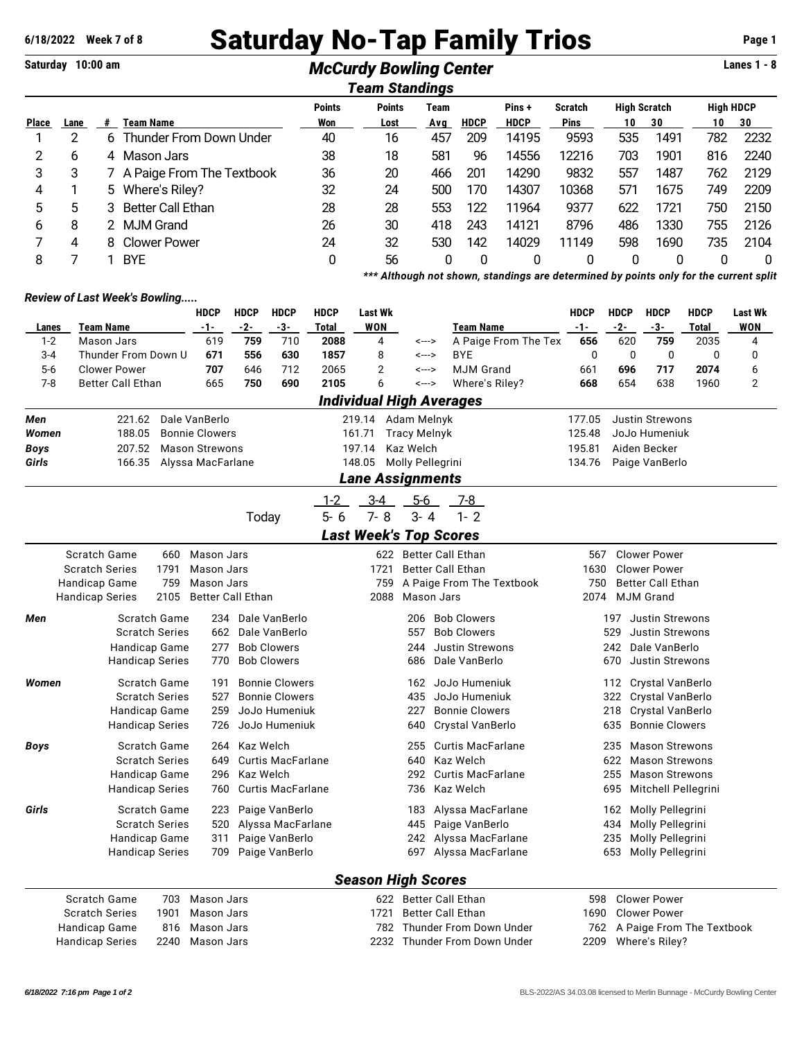# **6/18/2022 Week 7 of 8** Saturday No-Tap Family Trios **Page 1**

### Saturday 10:00 am *McCurdy Bowling Center* **Lanes 1 - 8** *Team Standings*

| ream Standmus |      |    |                           |               |               |      |             |             |                |                     |      |                  |      |
|---------------|------|----|---------------------------|---------------|---------------|------|-------------|-------------|----------------|---------------------|------|------------------|------|
|               |      |    |                           | <b>Points</b> | <b>Points</b> | Team |             | Pins+       | <b>Scratch</b> | <b>High Scratch</b> |      | <b>High HDCP</b> |      |
| <b>Place</b>  | Lane | #  | Team Name                 | Won           | Lost          | Avq  | <b>HDCP</b> | <b>HDCP</b> | <b>Pins</b>    | 10                  | 30   | 10               | 30   |
|               |      | 6. | Thunder From Down Under   | 40            | 16            | 457  | 209         | 14195       | 9593           | 535                 | 1491 | 782              | 2232 |
| 2             | 6    | 4  | Mason Jars                | 38            | 18            | 581  | 96          | 14556       | 12216          | 703                 | 1901 | 816              | 2240 |
| 3             | 3    |    | A Paige From The Textbook | 36            | 20            | 466  | 201         | 14290       | 9832           | 557                 | 1487 | 762              | 2129 |
| 4             |      |    | 5 Where's Riley?          | 32            | 24            | 500  | 170         | 14307       | 10368          | 571                 | 1675 | 749              | 2209 |
| 5             | 5    | 3  | <b>Better Call Ethan</b>  | 28            | 28            | 553  | 122         | 11964       | 9377           | 622                 | 1721 | 750              | 2150 |
| 6             | 8    |    | MJM Grand                 | 26            | 30            | 418  | 243         | 14121       | 8796           | 486                 | 1330 | 755              | 2126 |
|               | 4    | 8  | Clower Power              | 24            | 32            | 530  | 142         | 14029       | 11149          | 598                 | 1690 | 735              | 2104 |
| 8             |      |    | <b>BYE</b>                | 0             | 56            | 0    | 0           | 0           | 0              | 0                   |      |                  | 0    |
|               |      |    |                           |               | .             |      |             |             |                | $\sim$ $\sim$       |      |                  |      |

*\*\*\* Although not shown, standings are determined by points only for the current split*

#### *Review of Last Week's Bowling.....*

|                         |                          |                             | <b>HDCP</b>                  | <b>HDCP</b>                                     | <b>HDCP</b>              | <b>HDCP</b>                   | <b>Last Wk</b>                  |                   |                                 |                           | <b>HDCP</b>                  | <b>HDCP</b>                  | <b>HDCP</b>              | <b>HDCP</b>  | <b>Last Wk</b> |  |
|-------------------------|--------------------------|-----------------------------|------------------------------|-------------------------------------------------|--------------------------|-------------------------------|---------------------------------|-------------------|---------------------------------|---------------------------|------------------------------|------------------------------|--------------------------|--------------|----------------|--|
| Lanes                   | <b>Team Name</b>         |                             | $-1-$                        | $-2-$                                           | $-3-$                    | Total                         | <b>WON</b>                      |                   | <b>Team Name</b>                |                           | $-1-$                        | $-2-$                        | $-3-$                    | <b>Total</b> | <b>WON</b>     |  |
| $1 - 2$                 | Mason Jars               |                             | 619                          | 759                                             | 710                      | 2088                          | 4                               | <--->             |                                 | A Paige From The Tex      | 656                          | 620                          | 759                      | 2035         | 4              |  |
| $3 - 4$                 | Thunder From Down U      |                             | 671                          | 556                                             | 630                      | 1857                          | 8                               | <--->             | <b>BYE</b>                      |                           | 0                            | 0                            | 0                        | 0            | 0              |  |
| $5-6$                   | <b>Clower Power</b>      |                             | 707                          | 646                                             | 712                      | 2065                          | $\overline{2}$                  | <--->             | <b>MJM Grand</b>                |                           | 661                          | 696                          | 717                      | 2074         | 6              |  |
| $7 - 8$                 | <b>Better Call Ethan</b> |                             | 665                          | 750                                             | 690                      | 2105                          | 6                               | <--->             |                                 | Where's Riley?            | 668                          | 654                          | 638                      | 1960         | 2              |  |
|                         |                          |                             |                              |                                                 |                          |                               |                                 |                   | <b>Individual High Averages</b> |                           |                              |                              |                          |              |                |  |
| Men                     | 221.62                   |                             | Dale VanBerlo                |                                                 |                          |                               | 219.14 Adam Melnyk              |                   |                                 |                           | 177.05                       |                              | <b>Justin Strewons</b>   |              |                |  |
| Women                   | 188.05                   |                             | <b>Bonnie Clowers</b>        |                                                 |                          | 161.71<br><b>Tracy Melnyk</b> |                                 |                   |                                 |                           | 125.48<br>JoJo Humeniuk      |                              |                          |              |                |  |
| <b>Boys</b>             | 207.52                   |                             | <b>Mason Strewons</b>        |                                                 |                          |                               | 197.14                          | Kaz Welch         |                                 |                           | 195.81                       |                              | Aiden Becker             |              |                |  |
| Girls                   | 166.35                   |                             |                              | Molly Pellegrini<br>Alyssa MacFarlane<br>148.05 |                          |                               |                                 |                   |                                 | 134.76<br>Paige VanBerlo  |                              |                              |                          |              |                |  |
| <b>Lane Assignments</b> |                          |                             |                              |                                                 |                          |                               |                                 |                   |                                 |                           |                              |                              |                          |              |                |  |
|                         |                          |                             |                              |                                                 |                          | $1 - 2$                       | $3-4$                           | $5-6$             | 7-8                             |                           |                              |                              |                          |              |                |  |
|                         |                          |                             |                              | Today                                           |                          | $5 - 6$                       | $7 - 8$                         | $3 - 4$           | $1 - 2$                         |                           |                              |                              |                          |              |                |  |
|                         |                          |                             |                              |                                                 |                          |                               |                                 |                   | <b>Last Week's Top Scores</b>   |                           |                              |                              |                          |              |                |  |
|                         | Scratch Game             | 660                         | Mason Jars                   |                                                 |                          |                               |                                 |                   | 622 Better Call Ethan           |                           | 567                          |                              | <b>Clower Power</b>      |              |                |  |
|                         | <b>Scratch Series</b>    | 1791                        | Mason Jars                   |                                                 |                          |                               | 1721                            |                   | <b>Better Call Ethan</b>        |                           | 1630                         |                              | <b>Clower Power</b>      |              |                |  |
| Handicap Game<br>759    |                          |                             | <b>Mason Jars</b>            |                                                 |                          |                               | 759                             |                   |                                 | A Paige From The Textbook | 750                          |                              | <b>Better Call Ethan</b> |              |                |  |
|                         | <b>Handicap Series</b>   | 2105                        | Better Call Ethan            |                                                 |                          |                               | 2088                            |                   | Mason Jars                      |                           | 2074                         |                              | <b>MJM Grand</b>         |              |                |  |
| Men                     | <b>Scratch Game</b>      |                             | 234                          |                                                 | Dale VanBerlo            |                               |                                 | 206               | <b>Bob Clowers</b>              |                           |                              | 197                          | <b>Justin Strewons</b>   |              |                |  |
|                         | <b>Scratch Series</b>    |                             | 662                          |                                                 | Dale VanBerlo            |                               |                                 | 557               | <b>Bob Clowers</b>              |                           |                              | 529                          | <b>Justin Strewons</b>   |              |                |  |
|                         |                          | Handicap Game               |                              | <b>Bob Clowers</b><br>277                       |                          |                               |                                 | 244               | <b>Justin Strewons</b>          |                           |                              | 242                          | Dale VanBerlo            |              |                |  |
|                         | <b>Handicap Series</b>   |                             | 770                          | <b>Bob Clowers</b>                              |                          |                               |                                 | 686               | Dale VanBerlo                   |                           |                              | 670                          | <b>Justin Strewons</b>   |              |                |  |
| Women                   | Scratch Game             |                             | 191                          |                                                 | <b>Bonnie Clowers</b>    |                               |                                 | 162               | JoJo Humeniuk                   |                           |                              | 112                          | Crystal VanBerlo         |              |                |  |
|                         | <b>Scratch Series</b>    |                             | <b>Bonnie Clowers</b><br>527 |                                                 |                          |                               | JoJo Humeniuk<br>435            |                   |                                 |                           | 322                          | Crystal VanBerlo             |                          |              |                |  |
|                         | Handicap Game            |                             | 259                          |                                                 | JoJo Humeniuk            |                               |                                 | 227               | <b>Bonnie Clowers</b>           |                           |                              | 218                          | Crystal VanBerlo         |              |                |  |
|                         | <b>Handicap Series</b>   |                             | JoJo Humeniuk<br>726         |                                                 |                          |                               | Crystal VanBerlo<br>640         |                   |                                 |                           | <b>Bonnie Clowers</b><br>635 |                              |                          |              |                |  |
| Boys                    | <b>Scratch Game</b>      |                             | Kaz Welch<br>264             |                                                 |                          |                               | <b>Curtis MacFarlane</b><br>255 |                   |                                 |                           |                              | 235<br><b>Mason Strewons</b> |                          |              |                |  |
|                         | <b>Scratch Series</b>    |                             | 649                          |                                                 | <b>Curtis MacFarlane</b> |                               |                                 | 640               | Kaz Welch                       |                           |                              | 622                          | <b>Mason Strewons</b>    |              |                |  |
|                         | Handicap Game            |                             | 296                          | Kaz Welch                                       |                          |                               |                                 | 292               | <b>Curtis MacFarlane</b>        |                           |                              | 255                          | <b>Mason Strewons</b>    |              |                |  |
|                         |                          | Handicap Series             |                              | 760<br><b>Curtis MacFarlane</b>                 |                          |                               |                                 | 736               | Kaz Welch                       |                           |                              | 695                          | Mitchell Pellegrini      |              |                |  |
| Girls                   |                          | Scratch Game                |                              |                                                 | Paige VanBerlo           |                               |                                 | 183               | Alyssa MacFarlane               |                           |                              | 162                          | Molly Pellegrini         |              |                |  |
|                         | <b>Scratch Series</b>    |                             | 520                          |                                                 | Alyssa MacFarlane        |                               |                                 | 445               | Paige VanBerlo                  |                           |                              | 434                          | Molly Pellegrini         |              |                |  |
|                         | Handicap Game            |                             | 311                          |                                                 | Paige VanBerlo           |                               | Alyssa MacFarlane<br>242        |                   |                                 |                           |                              | Molly Pellegrini<br>235      |                          |              |                |  |
|                         | <b>Handicap Series</b>   |                             | 709<br>Paige VanBerlo        |                                                 |                          |                               | 697                             | Alyssa MacFarlane |                                 |                           | 653                          | Molly Pellegrini             |                          |              |                |  |
|                         |                          |                             |                              |                                                 |                          |                               |                                 |                   |                                 |                           |                              |                              |                          |              |                |  |
|                         | $\sim$ $\sim$            | $\sim$ $\sim$ $\sim$ $\sim$ |                              |                                                 |                          |                               | <b>Season High Scores</b>       |                   |                                 |                           |                              |                              |                          |              |                |  |

#### Scratch Game 703 Mason Jars 622 Better Call Ethan 598 Clower Power Scratch Series 1901 Mason Jars 1721 Better Call Ethan Handicap Game 816 Mason Jars 782 Thunder From Down Under 762 A Paige From The Textbook Handicap Series 2240 Mason Jars 2232 Thunder From Down Under 2209 Where's Riley?